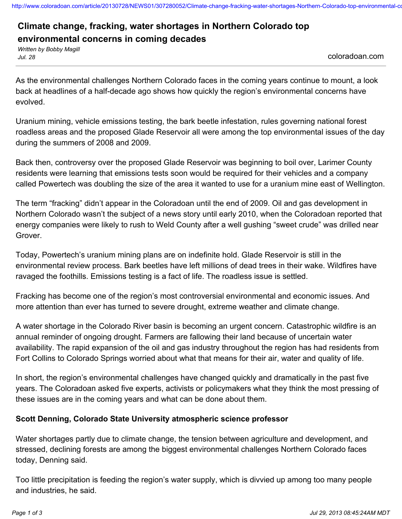http://www.coloradoan.com/article/20130728/NEWS01/307280052/Climate-change-fracking-water-shortages-Northern-Colorado-top-environmental-co

# **Climate change, fracking, water shortages in Northern Colorado top environmental concerns in coming decades**

*Written by Bobby Magill Jul. 28* coloradoan.com

As the environmental challenges Northern Colorado faces in the coming years continue to mount, a look back at headlines of a half-decade ago shows how quickly the region's environmental concerns have evolved.

Uranium mining, vehicle emissions testing, the bark beetle infestation, rules governing national forest roadless areas and the proposed Glade Reservoir all were among the top environmental issues of the day during the summers of 2008 and 2009.

Back then, controversy over the proposed Glade Reservoir was beginning to boil over, Larimer County residents were learning that emissions tests soon would be required for their vehicles and a company called Powertech was doubling the size of the area it wanted to use for a uranium mine east of Wellington.

The term "fracking" didn't appear in the Coloradoan until the end of 2009. Oil and gas development in Northern Colorado wasn't the subject of a news story until early 2010, when the Coloradoan reported that energy companies were likely to rush to Weld County after a well gushing "sweet crude" was drilled near Grover.

Today, Powertech's uranium mining plans are on indefinite hold. Glade Reservoir is still in the environmental review process. Bark beetles have left millions of dead trees in their wake. Wildfires have ravaged the foothills. Emissions testing is a fact of life. The roadless issue is settled.

Fracking has become one of the region's most controversial environmental and economic issues. And more attention than ever has turned to severe drought, extreme weather and climate change.

A water shortage in the Colorado River basin is becoming an urgent concern. Catastrophic wildfire is an annual reminder of ongoing drought. Farmers are fallowing their land because of uncertain water availability. The rapid expansion of the oil and gas industry throughout the region has had residents from Fort Collins to Colorado Springs worried about what that means for their air, water and quality of life.

In short, the region's environmental challenges have changed quickly and dramatically in the past five years. The Coloradoan asked five experts, activists or policymakers what they think the most pressing of these issues are in the coming years and what can be done about them.

#### **Scott Denning, Colorado State University atmospheric science professor**

Water shortages partly due to climate change, the tension between agriculture and development, and stressed, declining forests are among the biggest environmental challenges Northern Colorado faces today, Denning said.

Too little precipitation is feeding the region's water supply, which is divvied up among too many people and industries, he said.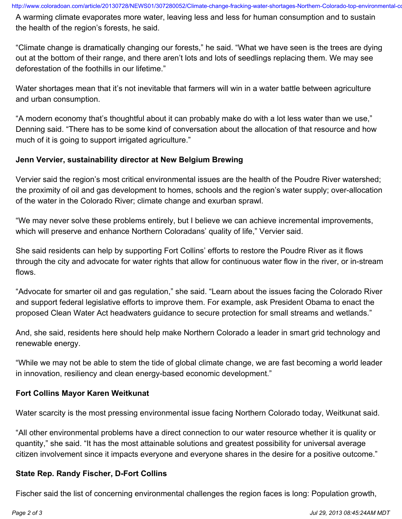A warming climate evaporates more water, leaving less and less for human consumption and to sustain the health of the region's forests, he said.

"Climate change is dramatically changing our forests," he said. "What we have seen is the trees are dying out at the bottom of their range, and there aren't lots and lots of seedlings replacing them. We may see deforestation of the foothills in our lifetime."

Water shortages mean that it's not inevitable that farmers will win in a water battle between agriculture and urban consumption.

"A modern economy that's thoughtful about it can probably make do with a lot less water than we use," Denning said. "There has to be some kind of conversation about the allocation of that resource and how much of it is going to support irrigated agriculture."

### **Jenn Vervier, sustainability director at New Belgium Brewing**

Vervier said the region's most critical environmental issues are the health of the Poudre River watershed; the proximity of oil and gas development to homes, schools and the region's water supply; over-allocation of the water in the Colorado River; climate change and exurban sprawl.

"We may never solve these problems entirely, but I believe we can achieve incremental improvements, which will preserve and enhance Northern Coloradans' quality of life," Vervier said.

She said residents can help by supporting Fort Collins' efforts to restore the Poudre River as it flows through the city and advocate for water rights that allow for continuous water flow in the river, or in-stream flows.

"Advocate for smarter oil and gas regulation," she said. "Learn about the issues facing the Colorado River and support federal legislative efforts to improve them. For example, ask President Obama to enact the proposed Clean Water Act headwaters guidance to secure protection for small streams and wetlands."

And, she said, residents here should help make Northern Colorado a leader in smart grid technology and renewable energy.

"While we may not be able to stem the tide of global climate change, we are fast becoming a world leader in innovation, resiliency and clean energy-based economic development."

#### **Fort Collins Mayor Karen Weitkunat**

Water scarcity is the most pressing environmental issue facing Northern Colorado today, Weitkunat said.

"All other environmental problems have a direct connection to our water resource whether it is quality or quantity," she said. "It has the most attainable solutions and greatest possibility for universal average citizen involvement since it impacts everyone and everyone shares in the desire for a positive outcome."

#### **State Rep. Randy Fischer, D-Fort Collins**

Fischer said the list of concerning environmental challenges the region faces is long: Population growth,